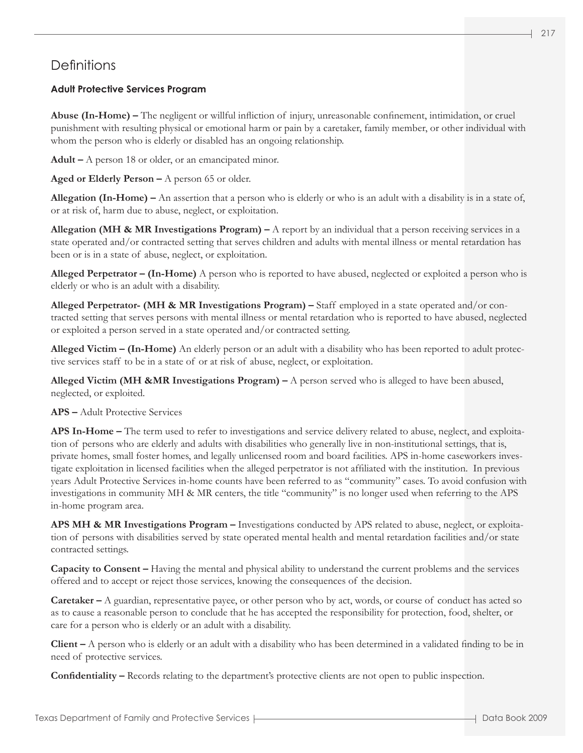# **Definitions**

## **Adult Protective Services Program**

**Abuse (In-Home) –** The negligent or willful infliction of injury, unreasonable confinement, intimidation, or cruel punishment with resulting physical or emotional harm or pain by a caretaker, family member, or other individual with whom the person who is elderly or disabled has an ongoing relationship.

**Adult –** A person 18 or older, or an emancipated minor.

**Aged or Elderly Person –** A person 65 or older.

**Allegation (In-Home) –** An assertion that a person who is elderly or who is an adult with a disability is in a state of, or at risk of, harm due to abuse, neglect, or exploitation.

**Allegation (MH & MR Investigations Program)** – A report by an individual that a person receiving services in a state operated and/or contracted setting that serves children and adults with mental illness or mental retardation has been or is in a state of abuse, neglect, or exploitation.

**Alleged Perpetrator – (In-Home)** A person who is reported to have abused, neglected or exploited a person who is elderly or who is an adult with a disability.

**Alleged Perpetrator- (MH & MR Investigations Program) –** Staff employed in a state operated and/or contracted setting that serves persons with mental illness or mental retardation who is reported to have abused, neglected or exploited a person served in a state operated and/or contracted setting.

**Alleged Victim – (In-Home)** An elderly person or an adult with a disability who has been reported to adult protective services staff to be in a state of or at risk of abuse, neglect, or exploitation.

**Alleged Victim (MH &MR Investigations Program) –** A person served who is alleged to have been abused, neglected, or exploited.

## **APS –** Adult Protective Services

**APS In-Home –** The term used to refer to investigations and service delivery related to abuse, neglect, and exploitation of persons who are elderly and adults with disabilities who generally live in non-institutional settings, that is, private homes, small foster homes, and legally unlicensed room and board facilities. APS in-home caseworkers investigate exploitation in licensed facilities when the alleged perpetrator is not affiliated with the institution. In previous years Adult Protective Services in-home counts have been referred to as "community" cases. To avoid confusion with investigations in community MH & MR centers, the title "community" is no longer used when referring to the APS in-home program area.

**APS MH & MR Investigations Program –** Investigations conducted by APS related to abuse, neglect, or exploitation of persons with disabilities served by state operated mental health and mental retardation facilities and/or state contracted settings.

**Capacity to Consent –** Having the mental and physical ability to understand the current problems and the services offered and to accept or reject those services, knowing the consequences of the decision.

**Caretaker –** A guardian, representative payee, or other person who by act, words, or course of conduct has acted so as to cause a reasonable person to conclude that he has accepted the responsibility for protection, food, shelter, or care for a person who is elderly or an adult with a disability.

**Client –** A person who is elderly or an adult with a disability who has been determined in a validated finding to be in need of protective services.

**Confidentiality –** Records relating to the department's protective clients are not open to public inspection.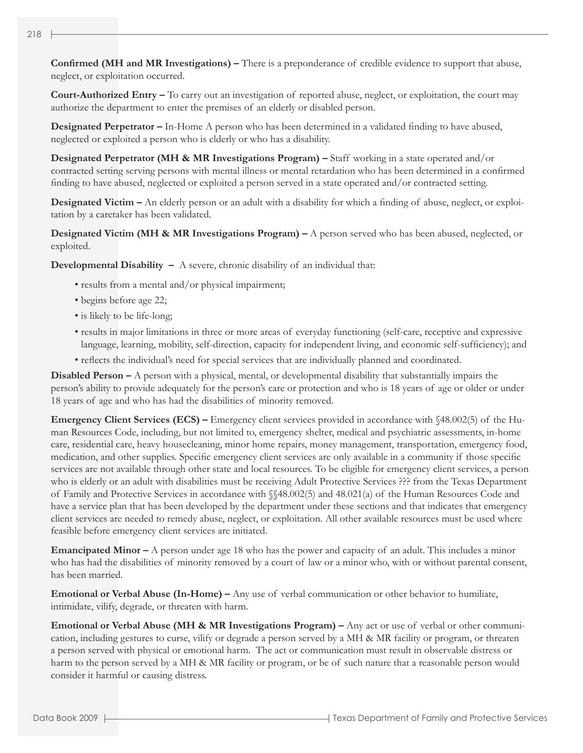**Confirmed (MH and MR Investigations) –** There is a preponderance of credible evidence to support that abuse, neglect, or exploitation occurred.

**Court-Authorized Entry –** To carry out an investigation of reported abuse, neglect, or exploitation, the court may authorize the department to enter the premises of an elderly or disabled person.

**Designated Perpetrator –** In-Home A person who has been determined in a validated finding to have abused, neglected or exploited a person who is elderly or who has a disability.

**Designated Perpetrator (MH & MR Investigations Program) –** Staff working in a state operated and/or contracted setting serving persons with mental illness or mental retardation who has been determined in a confirmed finding to have abused, neglected or exploited a person served in a state operated and/or contracted setting.

**Designated Victim –** An elderly person or an adult with a disability for which a finding of abuse, neglect, or exploitation by a caretaker has been validated.

**Designated Victim (MH & MR Investigations Program) –** A person served who has been abused, neglected, or exploited.

**Developmental Disability –** A severe, chronic disability of an individual that:

- results from a mental and/or physical impairment;
- begins before age 22;
- is likely to be life-long;
- results in major limitations in three or more areas of everyday functioning (self-care, receptive and expressive language, learning, mobility, self-direction, capacity for independent living, and economic self-sufficiency); and
- reflects the individual's need for special services that are individually planned and coordinated.

**Disabled Person –** A person with a physical, mental, or developmental disability that substantially impairs the person's ability to provide adequately for the person's care or protection and who is 18 years of age or older or under 18 years of age and who has had the disabilities of minority removed.

**Emergency Client Services (ECS) –** Emergency client services provided in accordance with §48.002(5) of the Human Resources Code, including, but not limited to, emergency shelter, medical and psychiatric assessments, in-home care, residential care, heavy housecleaning, minor home repairs, money management, transportation, emergency food, medication, and other supplies. Specific emergency client services are only available in a community if those specific services are not available through other state and local resources. To be eligible for emergency client services, a person who is elderly or an adult with disabilities must be receiving Adult Protective Services ??? from the Texas Department of Family and Protective Services in accordance with §§48.002(5) and 48.021(a) of the Human Resources Code and have a service plan that has been developed by the department under these sections and that indicates that emergency client services are needed to remedy abuse, neglect, or exploitation. All other available resources must be used where feasible before emergency client services are initiated.

**Emancipated Minor –** A person under age 18 who has the power and capacity of an adult. This includes a minor who has had the disabilities of minority removed by a court of law or a minor who, with or without parental consent, has been married.

**Emotional or Verbal Abuse (In-Home) –** Any use of verbal communication or other behavior to humiliate, intimidate, vilify, degrade, or threaten with harm.

**Emotional or Verbal Abuse (MH & MR Investigations Program) –** Any act or use of verbal or other communication, including gestures to curse, vilify or degrade a person served by a MH & MR facility or program, or threaten a person served with physical or emotional harm. The act or communication must result in observable distress or harm to the person served by a MH & MR facility or program, or be of such nature that a reasonable person would consider it harmful or causing distress.

218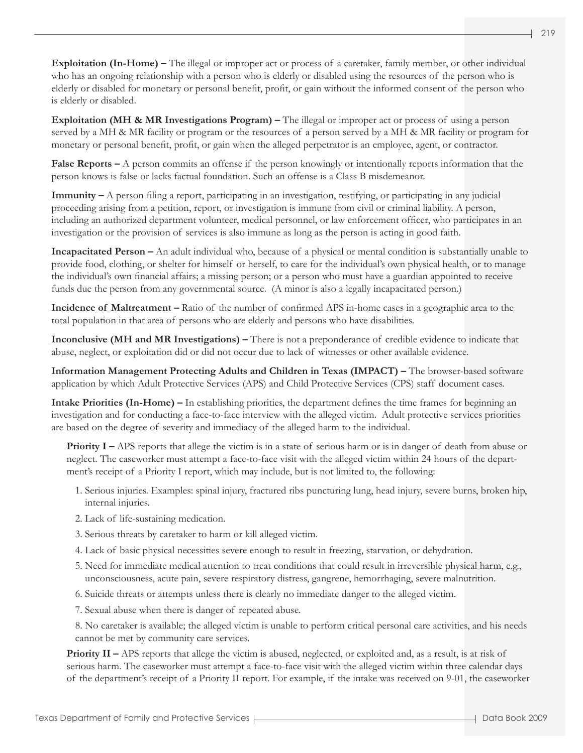**Exploitation (In-Home) –** The illegal or improper act or process of a caretaker, family member, or other individual who has an ongoing relationship with a person who is elderly or disabled using the resources of the person who is elderly or disabled for monetary or personal benefit, profit, or gain without the informed consent of the person who is elderly or disabled.

**Exploitation (MH & MR Investigations Program) –** The illegal or improper act or process of using a person served by a MH & MR facility or program or the resources of a person served by a MH & MR facility or program for monetary or personal benefit, profit, or gain when the alleged perpetrator is an employee, agent, or contractor.

**False Reports –** A person commits an offense if the person knowingly or intentionally reports information that the person knows is false or lacks factual foundation. Such an offense is a Class B misdemeanor.

**Immunity –** A person filing a report, participating in an investigation, testifying, or participating in any judicial proceeding arising from a petition, report, or investigation is immune from civil or criminal liability. A person, including an authorized department volunteer, medical personnel, or law enforcement officer, who participates in an investigation or the provision of services is also immune as long as the person is acting in good faith.

**Incapacitated Person –** An adult individual who, because of a physical or mental condition is substantially unable to provide food, clothing, or shelter for himself or herself, to care for the individual's own physical health, or to manage the individual's own financial affairs; a missing person; or a person who must have a guardian appointed to receive funds due the person from any governmental source. (A minor is also a legally incapacitated person.)

**Incidence of Maltreatment –** Ratio of the number of confirmed APS in-home cases in a geographic area to the total population in that area of persons who are elderly and persons who have disabilities.

**Inconclusive (MH and MR Investigations) –** There is not a preponderance of credible evidence to indicate that abuse, neglect, or exploitation did or did not occur due to lack of witnesses or other available evidence.

**Information Management Protecting Adults and Children in Texas (IMPACT) –** The browser-based software application by which Adult Protective Services (APS) and Child Protective Services (CPS) staff document cases.

**Intake Priorities (In-Home) –** In establishing priorities, the department defines the time frames for beginning an investigation and for conducting a face-to-face interview with the alleged victim. Adult protective services priorities are based on the degree of severity and immediacy of the alleged harm to the individual.

**Priority I** – APS reports that allege the victim is in a state of serious harm or is in danger of death from abuse or neglect. The caseworker must attempt a face-to-face visit with the alleged victim within 24 hours of the department's receipt of a Priority I report, which may include, but is not limited to, the following:

- 1. Serious injuries. Examples: spinal injury, fractured ribs puncturing lung, head injury, severe burns, broken hip, internal injuries.
- 2. Lack of life-sustaining medication.
- 3. Serious threats by caretaker to harm or kill alleged victim.
- 4. Lack of basic physical necessities severe enough to result in freezing, starvation, or dehydration.
- 5. Need for immediate medical attention to treat conditions that could result in irreversible physical harm, e.g., unconsciousness, acute pain, severe respiratory distress, gangrene, hemorrhaging, severe malnutrition.
- 6. Suicide threats or attempts unless there is clearly no immediate danger to the alleged victim.
- 7. Sexual abuse when there is danger of repeated abuse.

8. No caretaker is available; the alleged victim is unable to perform critical personal care activities, and his needs cannot be met by community care services.

**Priority II** – APS reports that allege the victim is abused, neglected, or exploited and, as a result, is at risk of serious harm. The caseworker must attempt a face-to-face visit with the alleged victim within three calendar days of the department's receipt of a Priority II report. For example, if the intake was received on 9-01, the caseworker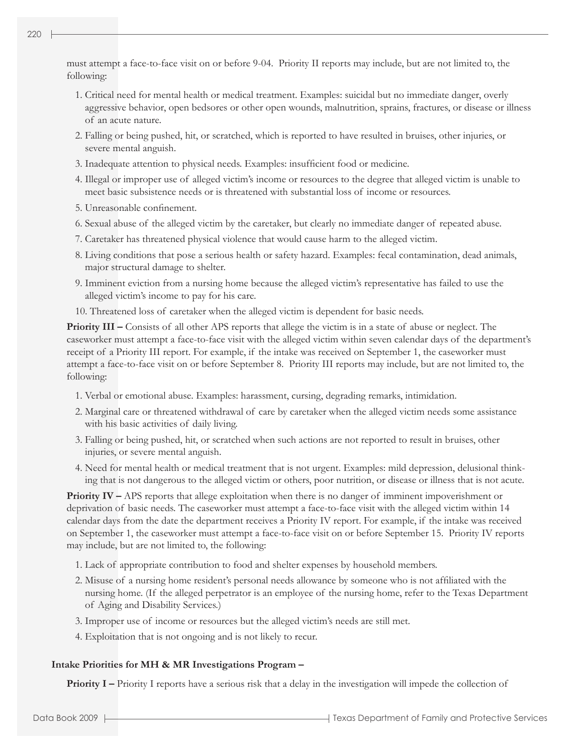- 1. Critical need for mental health or medical treatment. Examples: suicidal but no immediate danger, overly aggressive behavior, open bedsores or other open wounds, malnutrition, sprains, fractures, or disease or illness of an acute nature.
- 2. Falling or being pushed, hit, or scratched, which is reported to have resulted in bruises, other injuries, or severe mental anguish.
- 3. Inadequate attention to physical needs. Examples: insufficient food or medicine.
- 4. Illegal or improper use of alleged victim's income or resources to the degree that alleged victim is unable to meet basic subsistence needs or is threatened with substantial loss of income or resources.
- 5. Unreasonable confinement.
- 6. Sexual abuse of the alleged victim by the caretaker, but clearly no immediate danger of repeated abuse.
- 7. Caretaker has threatened physical violence that would cause harm to the alleged victim.
- 8. Living conditions that pose a serious health or safety hazard. Examples: fecal contamination, dead animals, major structural damage to shelter.
- 9. Imminent eviction from a nursing home because the alleged victim's representative has failed to use the alleged victim's income to pay for his care.
- 10. Threatened loss of caretaker when the alleged victim is dependent for basic needs.

**Priority III** – Consists of all other APS reports that allege the victim is in a state of abuse or neglect. The caseworker must attempt a face-to-face visit with the alleged victim within seven calendar days of the department's receipt of a Priority III report. For example, if the intake was received on September 1, the caseworker must attempt a face-to-face visit on or before September 8. Priority III reports may include, but are not limited to, the following:

- 1. Verbal or emotional abuse. Examples: harassment, cursing, degrading remarks, intimidation.
- 2. Marginal care or threatened withdrawal of care by caretaker when the alleged victim needs some assistance with his basic activities of daily living.
- 3. Falling or being pushed, hit, or scratched when such actions are not reported to result in bruises, other injuries, or severe mental anguish.
- 4. Need for mental health or medical treatment that is not urgent. Examples: mild depression, delusional thinking that is not dangerous to the alleged victim or others, poor nutrition, or disease or illness that is not acute.

**Priority IV – APS** reports that allege exploitation when there is no danger of imminent impoverishment or deprivation of basic needs. The caseworker must attempt a face-to-face visit with the alleged victim within 14 calendar days from the date the department receives a Priority IV report. For example, if the intake was received on September 1, the caseworker must attempt a face-to-face visit on or before September 15. Priority IV reports may include, but are not limited to, the following:

- 1. Lack of appropriate contribution to food and shelter expenses by household members.
- 2. Misuse of a nursing home resident's personal needs allowance by someone who is not affiliated with the nursing home. (If the alleged perpetrator is an employee of the nursing home, refer to the Texas Department of Aging and Disability Services.)
- 3. Improper use of income or resources but the alleged victim's needs are still met.
- 4. Exploitation that is not ongoing and is not likely to recur.

## **Intake Priorities for MH & MR Investigations Program –**

**Priority I** – Priority I reports have a serious risk that a delay in the investigation will impede the collection of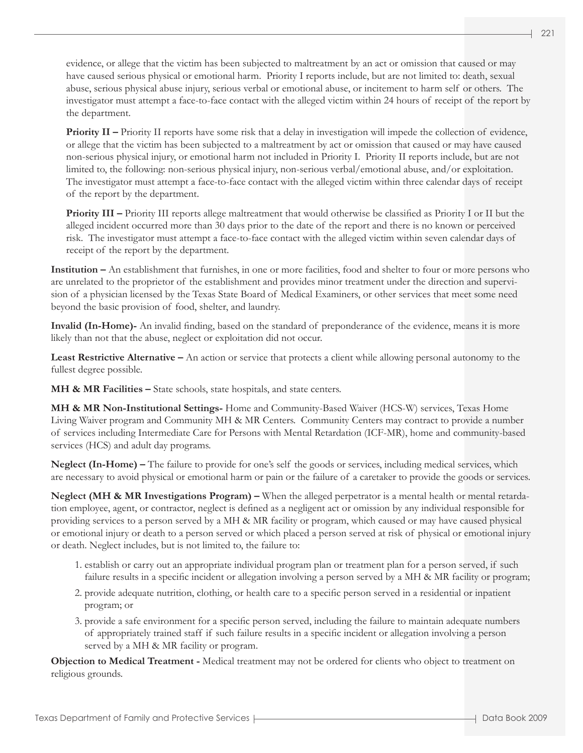evidence, or allege that the victim has been subjected to maltreatment by an act or omission that caused or may have caused serious physical or emotional harm. Priority I reports include, but are not limited to: death, sexual abuse, serious physical abuse injury, serious verbal or emotional abuse, or incitement to harm self or others. The investigator must attempt a face-to-face contact with the alleged victim within 24 hours of receipt of the report by the department.

**Priority II** – Priority II reports have some risk that a delay in investigation will impede the collection of evidence, or allege that the victim has been subjected to a maltreatment by act or omission that caused or may have caused non-serious physical injury, or emotional harm not included in Priority I. Priority II reports include, but are not limited to, the following: non-serious physical injury, non-serious verbal/emotional abuse, and/or exploitation. The investigator must attempt a face-to-face contact with the alleged victim within three calendar days of receipt of the report by the department.

 **Priority III –** Priority III reports allege maltreatment that would otherwise be classified as Priority I or II but the alleged incident occurred more than 30 days prior to the date of the report and there is no known or perceived risk. The investigator must attempt a face-to-face contact with the alleged victim within seven calendar days of receipt of the report by the department.

**Institution –** An establishment that furnishes, in one or more facilities, food and shelter to four or more persons who are unrelated to the proprietor of the establishment and provides minor treatment under the direction and supervision of a physician licensed by the Texas State Board of Medical Examiners, or other services that meet some need beyond the basic provision of food, shelter, and laundry.

**Invalid (In-Home)-** An invalid finding, based on the standard of preponderance of the evidence, means it is more likely than not that the abuse, neglect or exploitation did not occur.

**Least Restrictive Alternative –** An action or service that protects a client while allowing personal autonomy to the fullest degree possible.

**MH & MR Facilities –** State schools, state hospitals, and state centers.

**MH & MR Non-Institutional Settings-** Home and Community-Based Waiver (HCS-W) services, Texas Home Living Waiver program and Community MH & MR Centers. Community Centers may contract to provide a number of services including Intermediate Care for Persons with Mental Retardation (ICF-MR), home and community-based services (HCS) and adult day programs.

**Neglect (In-Home) –** The failure to provide for one's self the goods or services, including medical services, which are necessary to avoid physical or emotional harm or pain or the failure of a caretaker to provide the goods or services.

**Neglect (MH & MR Investigations Program) –** When the alleged perpetrator is a mental health or mental retardation employee, agent, or contractor, neglect is defined as a negligent act or omission by any individual responsible for providing services to a person served by a MH & MR facility or program, which caused or may have caused physical or emotional injury or death to a person served or which placed a person served at risk of physical or emotional injury or death. Neglect includes, but is not limited to, the failure to:

- 1. establish or carry out an appropriate individual program plan or treatment plan for a person served, if such failure results in a specific incident or allegation involving a person served by a MH & MR facility or program;
- 2. provide adequate nutrition, clothing, or health care to a specific person served in a residential or inpatient program; or
- 3. provide a safe environment for a specific person served, including the failure to maintain adequate numbers of appropriately trained staff if such failure results in a specific incident or allegation involving a person served by a MH & MR facility or program.

**Objection to Medical Treatment -** Medical treatment may not be ordered for clients who object to treatment on religious grounds.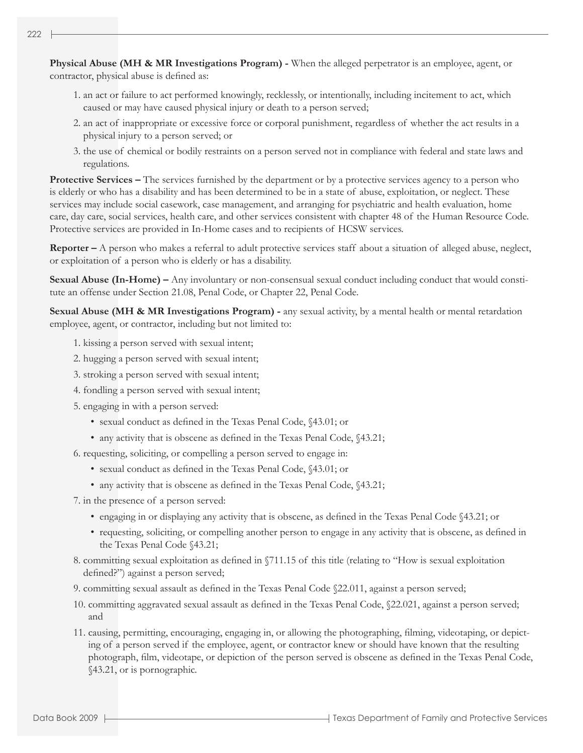**Physical Abuse (MH & MR Investigations Program) -** When the alleged perpetrator is an employee, agent, or contractor, physical abuse is defined as:

- 1. an act or failure to act performed knowingly, recklessly, or intentionally, including incitement to act, which caused or may have caused physical injury or death to a person served;
- 2. an act of inappropriate or excessive force or corporal punishment, regardless of whether the act results in a physical injury to a person served; or
- 3. the use of chemical or bodily restraints on a person served not in compliance with federal and state laws and regulations.

**Protective Services –** The services furnished by the department or by a protective services agency to a person who is elderly or who has a disability and has been determined to be in a state of abuse, exploitation, or neglect. These services may include social casework, case management, and arranging for psychiatric and health evaluation, home care, day care, social services, health care, and other services consistent with chapter 48 of the Human Resource Code. Protective services are provided in In-Home cases and to recipients of HCSW services.

**Reporter –** A person who makes a referral to adult protective services staff about a situation of alleged abuse, neglect, or exploitation of a person who is elderly or has a disability.

**Sexual Abuse (In-Home) –** Any involuntary or non-consensual sexual conduct including conduct that would constitute an offense under Section 21.08, Penal Code, or Chapter 22, Penal Code.

**Sexual Abuse (MH & MR Investigations Program) -** any sexual activity, by a mental health or mental retardation employee, agent, or contractor, including but not limited to:

- 1. kissing a person served with sexual intent;
- 2. hugging a person served with sexual intent;
- 3. stroking a person served with sexual intent;
- 4. fondling a person served with sexual intent;
- 5. engaging in with a person served:
	- sexual conduct as defined in the Texas Penal Code, §43.01; or
	- any activity that is obscene as defined in the Texas Penal Code, §43.21;
- 6. requesting, soliciting, or compelling a person served to engage in:
	- sexual conduct as defined in the Texas Penal Code, §43.01; or
	- any activity that is obscene as defined in the Texas Penal Code, §43.21;
- 7. in the presence of a person served:
	- engaging in or displaying any activity that is obscene, as defined in the Texas Penal Code §43.21; or
	- requesting, soliciting, or compelling another person to engage in any activity that is obscene, as defined in the Texas Penal Code §43.21;
- 8. committing sexual exploitation as defined in §711.15 of this title (relating to "How is sexual exploitation defined?") against a person served;
- 9. committing sexual assault as defined in the Texas Penal Code §22.011, against a person served;
- 10. committing aggravated sexual assault as defined in the Texas Penal Code, §22.021, against a person served; and
- 11. causing, permitting, encouraging, engaging in, or allowing the photographing, filming, videotaping, or depicting of a person served if the employee, agent, or contractor knew or should have known that the resulting photograph, film, videotape, or depiction of the person served is obscene as defined in the Texas Penal Code, §43.21, or is pornographic.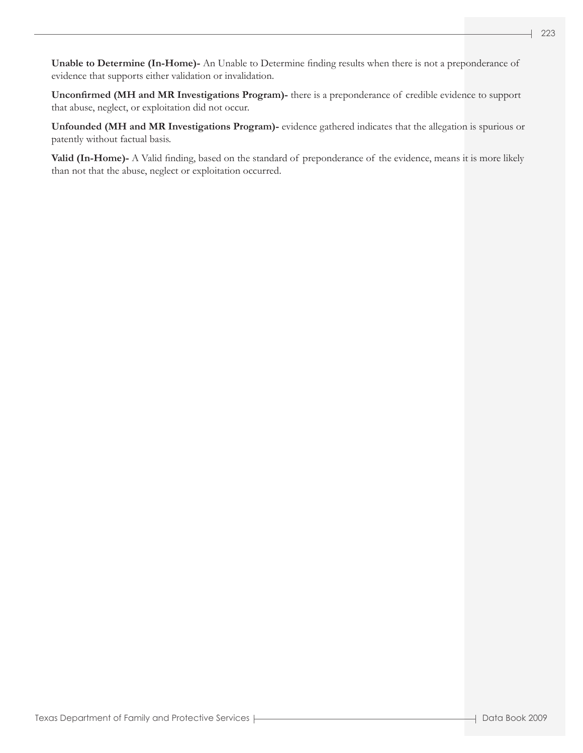**Unable to Determine (In-Home)-** An Unable to Determine finding results when there is not a preponderance of evidence that supports either validation or invalidation.

**Unconfirmed (MH and MR Investigations Program)-** there is a preponderance of credible evidence to support that abuse, neglect, or exploitation did not occur.

**Unfounded (MH and MR Investigations Program)-** evidence gathered indicates that the allegation is spurious or patently without factual basis.

**Valid (In-Home)-** A Valid finding, based on the standard of preponderance of the evidence, means it is more likely than not that the abuse, neglect or exploitation occurred.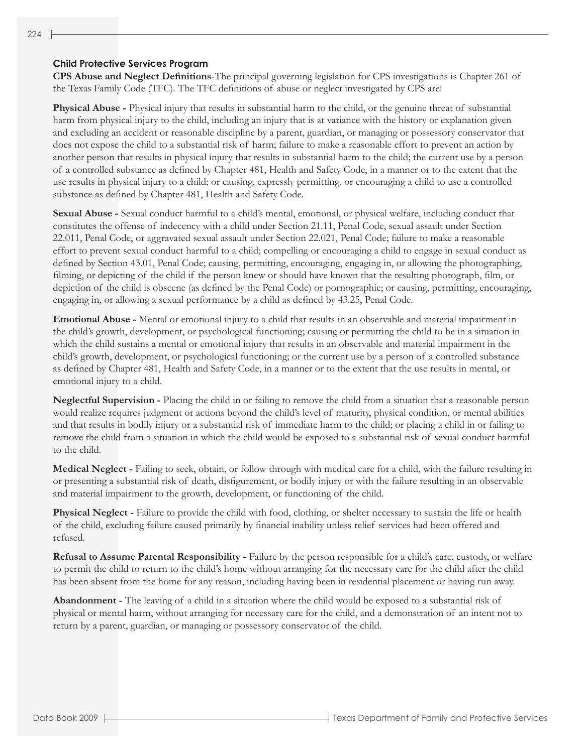#### **Child Protective Services Program**

**CPS Abuse and Neglect Definitions**-The principal governing legislation for CPS investigations is Chapter 261 of the Texas Family Code (TFC). The TFC definitions of abuse or neglect investigated by CPS are:

**Physical Abuse -** Physical injury that results in substantial harm to the child, or the genuine threat of substantial harm from physical injury to the child, including an injury that is at variance with the history or explanation given and excluding an accident or reasonable discipline by a parent, guardian, or managing or possessory conservator that does not expose the child to a substantial risk of harm; failure to make a reasonable effort to prevent an action by another person that results in physical injury that results in substantial harm to the child; the current use by a person of a controlled substance as defined by Chapter 481, Health and Safety Code, in a manner or to the extent that the use results in physical injury to a child; or causing, expressly permitting, or encouraging a child to use a controlled substance as defined by Chapter 481, Health and Safety Code.

**Sexual Abuse -** Sexual conduct harmful to a child's mental, emotional, or physical welfare, including conduct that constitutes the offense of indecency with a child under Section 21.11, Penal Code, sexual assault under Section 22.011, Penal Code, or aggravated sexual assault under Section 22.021, Penal Code; failure to make a reasonable effort to prevent sexual conduct harmful to a child; compelling or encouraging a child to engage in sexual conduct as defined by Section 43.01, Penal Code; causing, permitting, encouraging, engaging in, or allowing the photographing, filming, or depicting of the child if the person knew or should have known that the resulting photograph, film, or depiction of the child is obscene (as defined by the Penal Code) or pornographic; or causing, permitting, encouraging, engaging in, or allowing a sexual performance by a child as defined by 43.25, Penal Code.

**Emotional Abuse -** Mental or emotional injury to a child that results in an observable and material impairment in the child's growth, development, or psychological functioning; causing or permitting the child to be in a situation in which the child sustains a mental or emotional injury that results in an observable and material impairment in the child's growth, development, or psychological functioning; or the current use by a person of a controlled substance as defined by Chapter 481, Health and Safety Code, in a manner or to the extent that the use results in mental, or emotional injury to a child.

**Neglectful Supervision -** Placing the child in or failing to remove the child from a situation that a reasonable person would realize requires judgment or actions beyond the child's level of maturity, physical condition, or mental abilities and that results in bodily injury or a substantial risk of immediate harm to the child; or placing a child in or failing to remove the child from a situation in which the child would be exposed to a substantial risk of sexual conduct harmful to the child.

**Medical Neglect -** Failing to seek, obtain, or follow through with medical care for a child, with the failure resulting in or presenting a substantial risk of death, disfigurement, or bodily injury or with the failure resulting in an observable and material impairment to the growth, development, or functioning of the child.

**Physical Neglect -** Failure to provide the child with food, clothing, or shelter necessary to sustain the life or health of the child, excluding failure caused primarily by financial inability unless relief services had been offered and refused.

**Refusal to Assume Parental Responsibility - Failure by the person responsible for a child's care, custody, or welfare** to permit the child to return to the child's home without arranging for the necessary care for the child after the child has been absent from the home for any reason, including having been in residential placement or having run away.

**Abandonment -** The leaving of a child in a situation where the child would be exposed to a substantial risk of physical or mental harm, without arranging for necessary care for the child, and a demonstration of an intent not to return by a parent, guardian, or managing or possessory conservator of the child.

224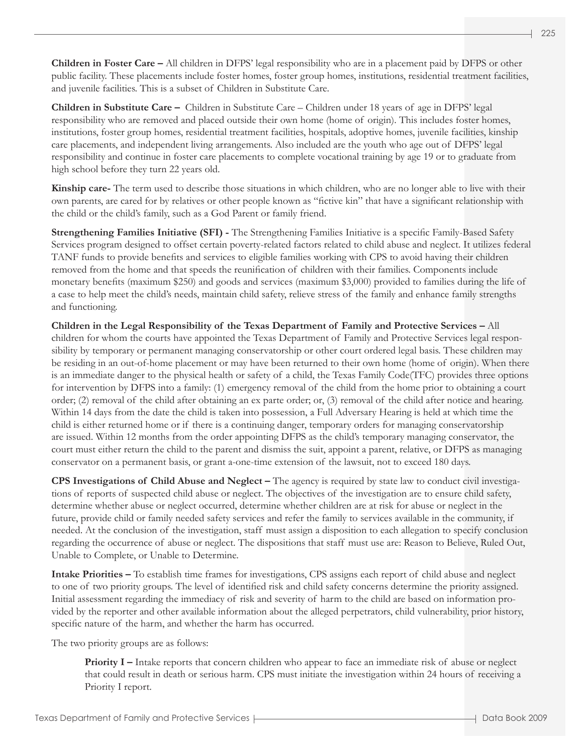**Children in Foster Care –** All children in DFPS' legal responsibility who are in a placement paid by DFPS or other public facility. These placements include foster homes, foster group homes, institutions, residential treatment facilities, and juvenile facilities. This is a subset of Children in Substitute Care.

**Children in Substitute Care –** Children in Substitute Care – Children under 18 years of age in DFPS' legal responsibility who are removed and placed outside their own home (home of origin). This includes foster homes, institutions, foster group homes, residential treatment facilities, hospitals, adoptive homes, juvenile facilities, kinship care placements, and independent living arrangements. Also included are the youth who age out of DFPS' legal responsibility and continue in foster care placements to complete vocational training by age 19 or to graduate from high school before they turn 22 years old.

**Kinship care-** The term used to describe those situations in which children, who are no longer able to live with their own parents, are cared for by relatives or other people known as "fictive kin" that have a significant relationship with the child or the child's family, such as a God Parent or family friend.

**Strengthening Families Initiative (SFI) -** The Strengthening Families Initiative is a specific Family-Based Safety Services program designed to offset certain poverty-related factors related to child abuse and neglect. It utilizes federal TANF funds to provide benefits and services to eligible families working with CPS to avoid having their children removed from the home and that speeds the reunification of children with their families. Components include monetary benefits (maximum \$250) and goods and services (maximum \$3,000) provided to families during the life of a case to help meet the child's needs, maintain child safety, relieve stress of the family and enhance family strengths and functioning.

**Children in the Legal Responsibility of the Texas Department of Family and Protective Services –** All children for whom the courts have appointed the Texas Department of Family and Protective Services legal responsibility by temporary or permanent managing conservatorship or other court ordered legal basis. These children may be residing in an out-of-home placement or may have been returned to their own home (home of origin). When there is an immediate danger to the physical health or safety of a child, the Texas Family Code(TFC) provides three options for intervention by DFPS into a family: (1) emergency removal of the child from the home prior to obtaining a court order; (2) removal of the child after obtaining an ex parte order; or, (3) removal of the child after notice and hearing. Within 14 days from the date the child is taken into possession, a Full Adversary Hearing is held at which time the child is either returned home or if there is a continuing danger, temporary orders for managing conservatorship are issued. Within 12 months from the order appointing DFPS as the child's temporary managing conservator, the court must either return the child to the parent and dismiss the suit, appoint a parent, relative, or DFPS as managing conservator on a permanent basis, or grant a-one-time extension of the lawsuit, not to exceed 180 days.

**CPS Investigations of Child Abuse and Neglect –** The agency is required by state law to conduct civil investigations of reports of suspected child abuse or neglect. The objectives of the investigation are to ensure child safety, determine whether abuse or neglect occurred, determine whether children are at risk for abuse or neglect in the future, provide child or family needed safety services and refer the family to services available in the community, if needed. At the conclusion of the investigation, staff must assign a disposition to each allegation to specify conclusion regarding the occurrence of abuse or neglect. The dispositions that staff must use are: Reason to Believe, Ruled Out, Unable to Complete, or Unable to Determine.

**Intake Priorities –** To establish time frames for investigations, CPS assigns each report of child abuse and neglect to one of two priority groups. The level of identified risk and child safety concerns determine the priority assigned. Initial assessment regarding the immediacy of risk and severity of harm to the child are based on information provided by the reporter and other available information about the alleged perpetrators, child vulnerability, prior history, specific nature of the harm, and whether the harm has occurred.

The two priority groups are as follows:

**Priority I** – Intake reports that concern children who appear to face an immediate risk of abuse or neglect that could result in death or serious harm. CPS must initiate the investigation within 24 hours of receiving a Priority I report.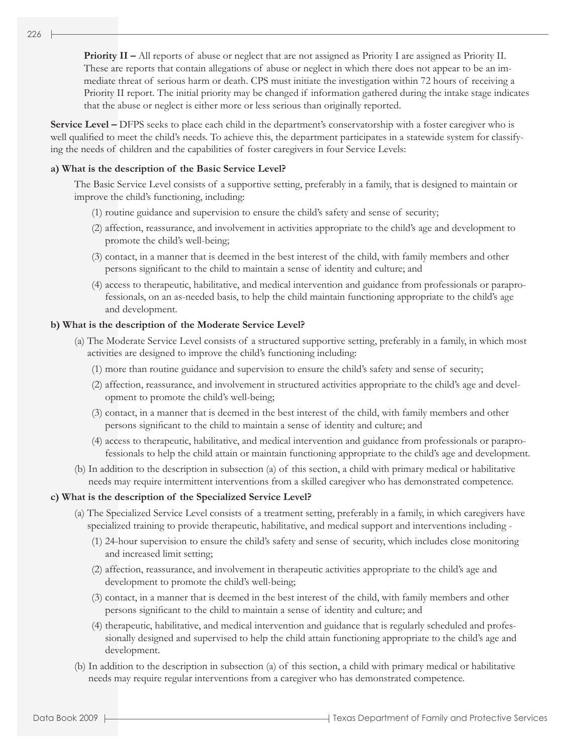**Priority II –** All reports of abuse or neglect that are not assigned as Priority I are assigned as Priority II. These are reports that contain allegations of abuse or neglect in which there does not appear to be an immediate threat of serious harm or death. CPS must initiate the investigation within 72 hours of receiving a Priority II report. The initial priority may be changed if information gathered during the intake stage indicates that the abuse or neglect is either more or less serious than originally reported.

**Service Level –** DFPS seeks to place each child in the department's conservatorship with a foster caregiver who is well qualified to meet the child's needs. To achieve this, the department participates in a statewide system for classifying the needs of children and the capabilities of foster caregivers in four Service Levels:

#### **a) What is the description of the Basic Service Level?**

The Basic Service Level consists of a supportive setting, preferably in a family, that is designed to maintain or improve the child's functioning, including:

- (1) routine guidance and supervision to ensure the child's safety and sense of security;
- (2) affection, reassurance, and involvement in activities appropriate to the child's age and development to promote the child's well-being;
- (3) contact, in a manner that is deemed in the best interest of the child, with family members and other persons significant to the child to maintain a sense of identity and culture; and
- (4) access to therapeutic, habilitative, and medical intervention and guidance from professionals or paraprofessionals, on an as-needed basis, to help the child maintain functioning appropriate to the child's age and development.

#### **b) What is the description of the Moderate Service Level?**

- (a) The Moderate Service Level consists of a structured supportive setting, preferably in a family, in which most activities are designed to improve the child's functioning including:
	- (1) more than routine guidance and supervision to ensure the child's safety and sense of security;
	- (2) affection, reassurance, and involvement in structured activities appropriate to the child's age and development to promote the child's well-being;
	- (3) contact, in a manner that is deemed in the best interest of the child, with family members and other persons significant to the child to maintain a sense of identity and culture; and
	- (4) access to therapeutic, habilitative, and medical intervention and guidance from professionals or paraprofessionals to help the child attain or maintain functioning appropriate to the child's age and development.
- (b) In addition to the description in subsection (a) of this section, a child with primary medical or habilitative needs may require intermittent interventions from a skilled caregiver who has demonstrated competence.

#### **c) What is the description of the Specialized Service Level?**

- (a) The Specialized Service Level consists of a treatment setting, preferably in a family, in which caregivers have specialized training to provide therapeutic, habilitative, and medical support and interventions including -
	- (1) 24-hour supervision to ensure the child's safety and sense of security, which includes close monitoring and increased limit setting;
	- (2) affection, reassurance, and involvement in therapeutic activities appropriate to the child's age and development to promote the child's well-being;
	- (3) contact, in a manner that is deemed in the best interest of the child, with family members and other persons significant to the child to maintain a sense of identity and culture; and
	- (4) therapeutic, habilitative, and medical intervention and guidance that is regularly scheduled and professionally designed and supervised to help the child attain functioning appropriate to the child's age and development.
- (b) In addition to the description in subsection (a) of this section, a child with primary medical or habilitative needs may require regular interventions from a caregiver who has demonstrated competence.

- 1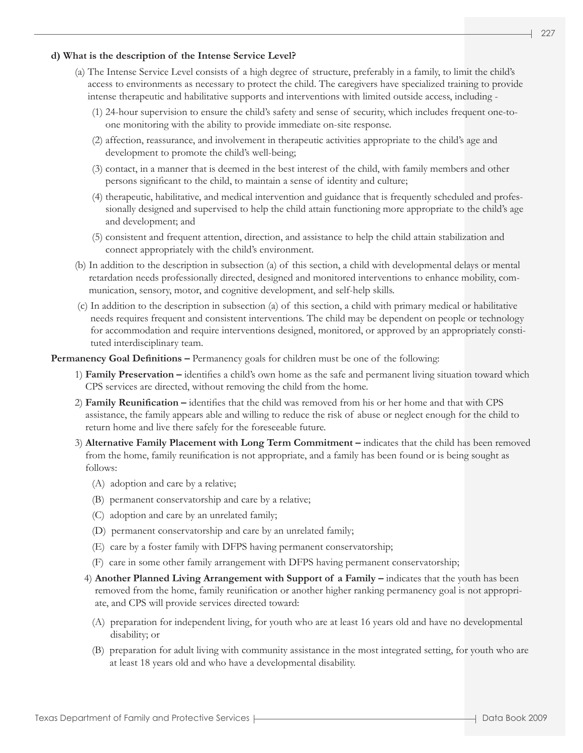#### **d) What is the description of the Intense Service Level?**

- (a) The Intense Service Level consists of a high degree of structure, preferably in a family, to limit the child's access to environments as necessary to protect the child. The caregivers have specialized training to provide intense therapeutic and habilitative supports and interventions with limited outside access, including -
	- (1) 24-hour supervision to ensure the child's safety and sense of security, which includes frequent one-toone monitoring with the ability to provide immediate on-site response.
	- (2) affection, reassurance, and involvement in therapeutic activities appropriate to the child's age and development to promote the child's well-being;
	- (3) contact, in a manner that is deemed in the best interest of the child, with family members and other persons significant to the child, to maintain a sense of identity and culture;
	- (4) therapeutic, habilitative, and medical intervention and guidance that is frequently scheduled and professionally designed and supervised to help the child attain functioning more appropriate to the child's age and development; and
	- (5) consistent and frequent attention, direction, and assistance to help the child attain stabilization and connect appropriately with the child's environment.
- (b) In addition to the description in subsection (a) of this section, a child with developmental delays or mental retardation needs professionally directed, designed and monitored interventions to enhance mobility, communication, sensory, motor, and cognitive development, and self-help skills.
- (c) In addition to the description in subsection (a) of this section, a child with primary medical or habilitative needs requires frequent and consistent interventions. The child may be dependent on people or technology for accommodation and require interventions designed, monitored, or approved by an appropriately constituted interdisciplinary team.

**Permanency Goal Definitions – Permanency goals for children must be one of the following:** 

- 1) **Family Preservation** identifies a child's own home as the safe and permanent living situation toward which CPS services are directed, without removing the child from the home.
- 2) **Family Reunification** identifies that the child was removed from his or her home and that with CPS assistance, the family appears able and willing to reduce the risk of abuse or neglect enough for the child to return home and live there safely for the foreseeable future.
- 3) **Alternative Family Placement with Long Term Commitment** indicates that the child has been removed from the home, family reunification is not appropriate, and a family has been found or is being sought as follows:
	- (A) adoption and care by a relative;
	- (B) permanent conservatorship and care by a relative;
	- (C) adoption and care by an unrelated family;
	- (D) permanent conservatorship and care by an unrelated family;
	- (E) care by a foster family with DFPS having permanent conservatorship;
	- (F) care in some other family arrangement with DFPS having permanent conservatorship;
	- 4) **Another Planned Living Arrangement with Support of a Family** indicates that the youth has been removed from the home, family reunification or another higher ranking permanency goal is not appropriate, and CPS will provide services directed toward:
		- (A) preparation for independent living, for youth who are at least 16 years old and have no developmental disability; or
		- (B) preparation for adult living with community assistance in the most integrated setting, for youth who are at least 18 years old and who have a developmental disability.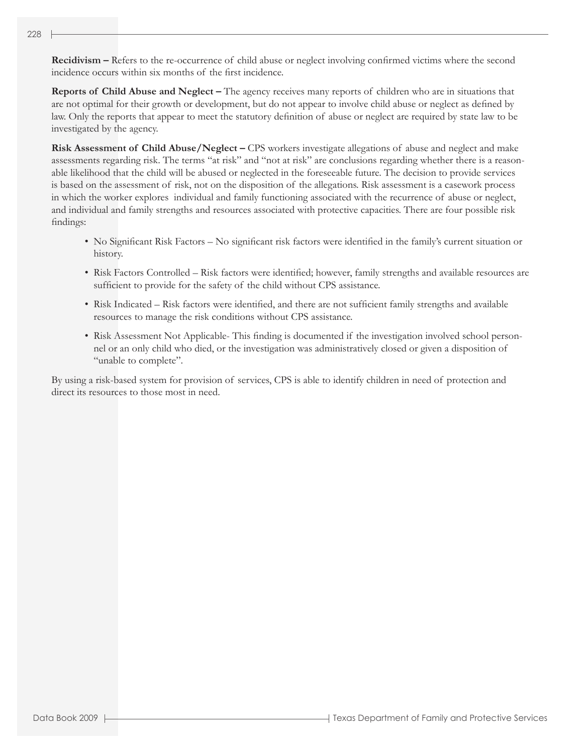**Recidivism –** Refers to the re-occurrence of child abuse or neglect involving confirmed victims where the second incidence occurs within six months of the first incidence.

**Reports of Child Abuse and Neglect –** The agency receives many reports of children who are in situations that are not optimal for their growth or development, but do not appear to involve child abuse or neglect as defined by law. Only the reports that appear to meet the statutory definition of abuse or neglect are required by state law to be investigated by the agency.

**Risk Assessment of Child Abuse/Neglect –** CPS workers investigate allegations of abuse and neglect and make assessments regarding risk. The terms "at risk" and "not at risk" are conclusions regarding whether there is a reasonable likelihood that the child will be abused or neglected in the foreseeable future. The decision to provide services is based on the assessment of risk, not on the disposition of the allegations. Risk assessment is a casework process in which the worker explores individual and family functioning associated with the recurrence of abuse or neglect, and individual and family strengths and resources associated with protective capacities. There are four possible risk findings:

- No Significant Risk Factors No significant risk factors were identified in the family's current situation or history.
- Risk Factors Controlled Risk factors were identified; however, family strengths and available resources are sufficient to provide for the safety of the child without CPS assistance.
- Risk Indicated Risk factors were identified, and there are not sufficient family strengths and available resources to manage the risk conditions without CPS assistance.
- Risk Assessment Not Applicable- This finding is documented if the investigation involved school personnel or an only child who died, or the investigation was administratively closed or given a disposition of "unable to complete".

By using a risk-based system for provision of services, CPS is able to identify children in need of protection and direct its resources to those most in need.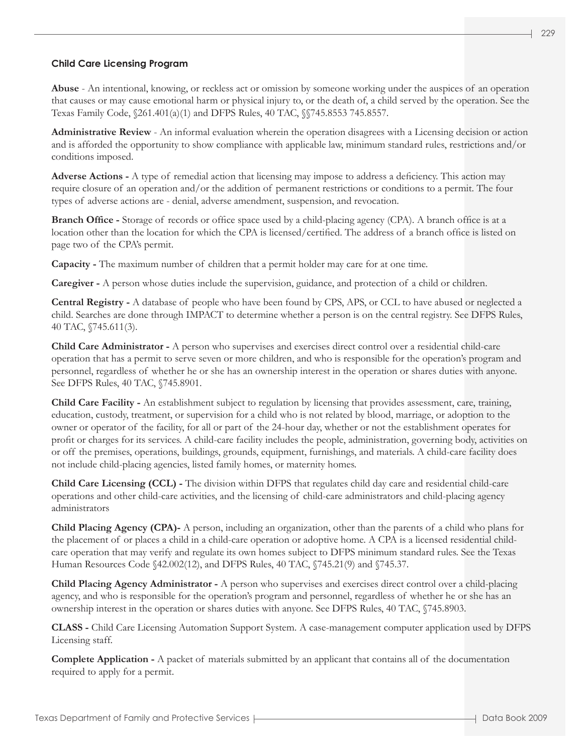## **Child Care Licensing Program**

**Abuse** - An intentional, knowing, or reckless act or omission by someone working under the auspices of an operation that causes or may cause emotional harm or physical injury to, or the death of, a child served by the operation. See the Texas Family Code, §261.401(a)(1) and DFPS Rules, 40 TAC, §§745.8553 745.8557.

**Administrative Review** - An informal evaluation wherein the operation disagrees with a Licensing decision or action and is afforded the opportunity to show compliance with applicable law, minimum standard rules, restrictions and/or conditions imposed.

**Adverse Actions -** A type of remedial action that licensing may impose to address a deficiency. This action may require closure of an operation and/or the addition of permanent restrictions or conditions to a permit. The four types of adverse actions are - denial, adverse amendment, suspension, and revocation.

**Branch Office -** Storage of records or office space used by a child-placing agency (CPA). A branch office is at a location other than the location for which the CPA is licensed/certified. The address of a branch office is listed on page two of the CPA's permit.

**Capacity -** The maximum number of children that a permit holder may care for at one time.

**Caregiver -** A person whose duties include the supervision, guidance, and protection of a child or children.

**Central Registry -** A database of people who have been found by CPS, APS, or CCL to have abused or neglected a child. Searches are done through IMPACT to determine whether a person is on the central registry. See DFPS Rules, 40 TAC, §745.611(3).

**Child Care Administrator -** A person who supervises and exercises direct control over a residential child-care operation that has a permit to serve seven or more children, and who is responsible for the operation's program and personnel, regardless of whether he or she has an ownership interest in the operation or shares duties with anyone. See DFPS Rules, 40 TAC, §745.8901.

**Child Care Facility -** An establishment subject to regulation by licensing that provides assessment, care, training, education, custody, treatment, or supervision for a child who is not related by blood, marriage, or adoption to the owner or operator of the facility, for all or part of the 24-hour day, whether or not the establishment operates for profit or charges for its services. A child-care facility includes the people, administration, governing body, activities on or off the premises, operations, buildings, grounds, equipment, furnishings, and materials. A child-care facility does not include child-placing agencies, listed family homes, or maternity homes.

**Child Care Licensing (CCL) -** The division within DFPS that regulates child day care and residential child-care operations and other child-care activities, and the licensing of child-care administrators and child-placing agency administrators

**Child Placing Agency (CPA)-** A person, including an organization, other than the parents of a child who plans for the placement of or places a child in a child-care operation or adoptive home. A CPA is a licensed residential childcare operation that may verify and regulate its own homes subject to DFPS minimum standard rules. See the Texas Human Resources Code §42.002(12), and DFPS Rules, 40 TAC, §745.21(9) and §745.37.

**Child Placing Agency Administrator -** A person who supervises and exercises direct control over a child-placing agency, and who is responsible for the operation's program and personnel, regardless of whether he or she has an ownership interest in the operation or shares duties with anyone. See DFPS Rules, 40 TAC, §745.8903.

**CLASS -** Child Care Licensing Automation Support System. A case-management computer application used by DFPS Licensing staff.

**Complete Application -** A packet of materials submitted by an applicant that contains all of the documentation required to apply for a permit.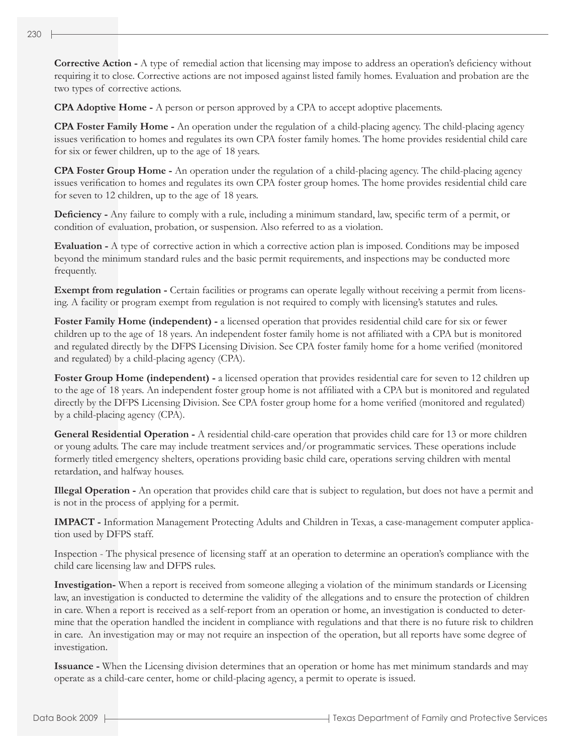**Corrective Action -** A type of remedial action that licensing may impose to address an operation's deficiency without requiring it to close. Corrective actions are not imposed against listed family homes. Evaluation and probation are the two types of corrective actions.

**CPA Adoptive Home -** A person or person approved by a CPA to accept adoptive placements.

**CPA Foster Family Home -** An operation under the regulation of a child-placing agency. The child-placing agency issues verification to homes and regulates its own CPA foster family homes. The home provides residential child care for six or fewer children, up to the age of 18 years.

**CPA Foster Group Home -** An operation under the regulation of a child-placing agency. The child-placing agency issues verification to homes and regulates its own CPA foster group homes. The home provides residential child care for seven to 12 children, up to the age of 18 years.

**Deficiency -** Any failure to comply with a rule, including a minimum standard, law, specific term of a permit, or condition of evaluation, probation, or suspension. Also referred to as a violation.

**Evaluation -** A type of corrective action in which a corrective action plan is imposed. Conditions may be imposed beyond the minimum standard rules and the basic permit requirements, and inspections may be conducted more frequently.

**Exempt from regulation -** Certain facilities or programs can operate legally without receiving a permit from licensing. A facility or program exempt from regulation is not required to comply with licensing's statutes and rules.

**Foster Family Home (independent) -** a licensed operation that provides residential child care for six or fewer children up to the age of 18 years. An independent foster family home is not affiliated with a CPA but is monitored and regulated directly by the DFPS Licensing Division. See CPA foster family home for a home verified (monitored and regulated) by a child-placing agency (CPA).

**Foster Group Home (independent) -** a licensed operation that provides residential care for seven to 12 children up to the age of 18 years. An independent foster group home is not affiliated with a CPA but is monitored and regulated directly by the DFPS Licensing Division. See CPA foster group home for a home verified (monitored and regulated) by a child-placing agency (CPA).

**General Residential Operation -** A residential child-care operation that provides child care for 13 or more children or young adults. The care may include treatment services and/or programmatic services. These operations include formerly titled emergency shelters, operations providing basic child care, operations serving children with mental retardation, and halfway houses.

**Illegal Operation -** An operation that provides child care that is subject to regulation, but does not have a permit and is not in the process of applying for a permit.

**IMPACT -** Information Management Protecting Adults and Children in Texas, a case-management computer application used by DFPS staff.

Inspection - The physical presence of licensing staff at an operation to determine an operation's compliance with the child care licensing law and DFPS rules.

**Investigation-** When a report is received from someone alleging a violation of the minimum standards or Licensing law, an investigation is conducted to determine the validity of the allegations and to ensure the protection of children in care. When a report is received as a self-report from an operation or home, an investigation is conducted to determine that the operation handled the incident in compliance with regulations and that there is no future risk to children in care. An investigation may or may not require an inspection of the operation, but all reports have some degree of investigation.

**Issuance -** When the Licensing division determines that an operation or home has met minimum standards and may operate as a child-care center, home or child-placing agency, a permit to operate is issued.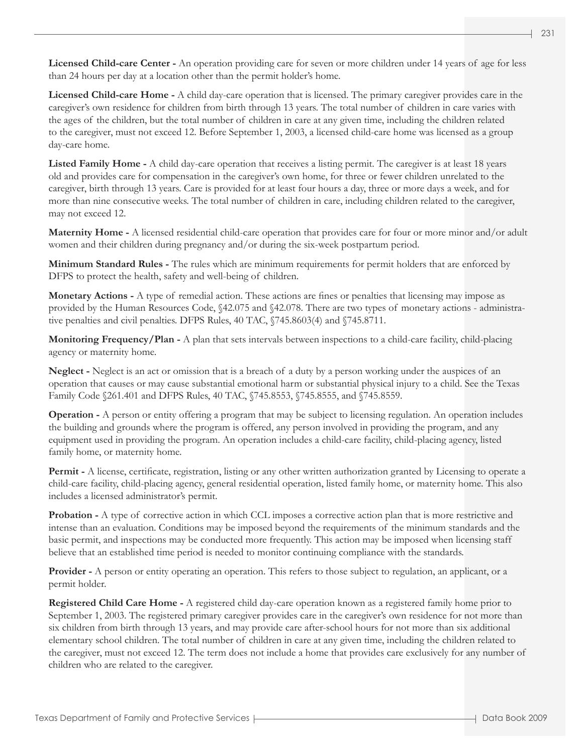**Licensed Child-care Center -** An operation providing care for seven or more children under 14 years of age for less than 24 hours per day at a location other than the permit holder's home.

**Licensed Child-care Home -** A child day-care operation that is licensed. The primary caregiver provides care in the caregiver's own residence for children from birth through 13 years. The total number of children in care varies with the ages of the children, but the total number of children in care at any given time, including the children related to the caregiver, must not exceed 12. Before September 1, 2003, a licensed child-care home was licensed as a group day-care home.

**Listed Family Home -** A child day-care operation that receives a listing permit. The caregiver is at least 18 years old and provides care for compensation in the caregiver's own home, for three or fewer children unrelated to the caregiver, birth through 13 years. Care is provided for at least four hours a day, three or more days a week, and for more than nine consecutive weeks. The total number of children in care, including children related to the caregiver, may not exceed 12.

**Maternity Home -** A licensed residential child-care operation that provides care for four or more minor and/or adult women and their children during pregnancy and/or during the six-week postpartum period.

**Minimum Standard Rules -** The rules which are minimum requirements for permit holders that are enforced by DFPS to protect the health, safety and well-being of children.

**Monetary Actions -** A type of remedial action. These actions are fines or penalties that licensing may impose as provided by the Human Resources Code, §42.075 and §42.078. There are two types of monetary actions - administrative penalties and civil penalties. DFPS Rules, 40 TAC, §745.8603(4) and §745.8711.

**Monitoring Frequency/Plan -** A plan that sets intervals between inspections to a child-care facility, child-placing agency or maternity home.

**Neglect -** Neglect is an act or omission that is a breach of a duty by a person working under the auspices of an operation that causes or may cause substantial emotional harm or substantial physical injury to a child. See the Texas Family Code §261.401 and DFPS Rules, 40 TAC, §745.8553, §745.8555, and §745.8559.

**Operation -** A person or entity offering a program that may be subject to licensing regulation. An operation includes the building and grounds where the program is offered, any person involved in providing the program, and any equipment used in providing the program. An operation includes a child-care facility, child-placing agency, listed family home, or maternity home.

**Permit -** A license, certificate, registration, listing or any other written authorization granted by Licensing to operate a child-care facility, child-placing agency, general residential operation, listed family home, or maternity home. This also includes a licensed administrator's permit.

**Probation -** A type of corrective action in which CCL imposes a corrective action plan that is more restrictive and intense than an evaluation. Conditions may be imposed beyond the requirements of the minimum standards and the basic permit, and inspections may be conducted more frequently. This action may be imposed when licensing staff believe that an established time period is needed to monitor continuing compliance with the standards.

**Provider -** A person or entity operating an operation. This refers to those subject to regulation, an applicant, or a permit holder.

**Registered Child Care Home -** A registered child day-care operation known as a registered family home prior to September 1, 2003. The registered primary caregiver provides care in the caregiver's own residence for not more than six children from birth through 13 years, and may provide care after-school hours for not more than six additional elementary school children. The total number of children in care at any given time, including the children related to the caregiver, must not exceed 12. The term does not include a home that provides care exclusively for any number of children who are related to the caregiver.